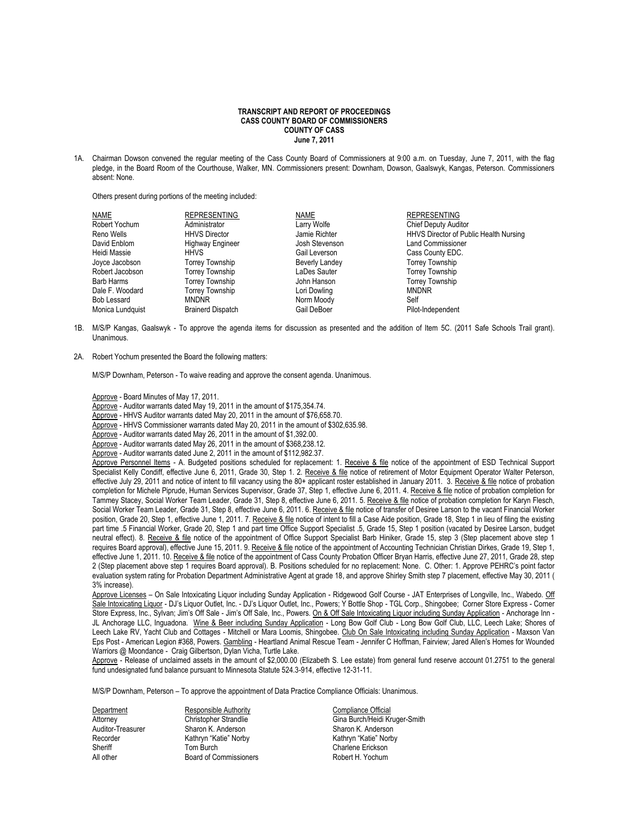## **TRANSCRIPT AND REPORT OF PROCEEDINGS CASS COUNTY BOARD OF COMMISSIONERS COUNTY OF CASS June 7, 2011**

1A. Chairman Dowson convened the regular meeting of the Cass County Board of Commissioners at 9:00 a.m. on Tuesday, June 7, 2011, with the flag pledge, in the Board Room of the Courthouse, Walker, MN. Commissioners present: Downham, Dowson, Gaalswyk, Kangas, Peterson. Commissioners absent: None.

Others present during portions of the meeting included:

| NAME             | <b>REPRESENTING</b>      | NAME                  | <b>REPRESENTING</b>                           |
|------------------|--------------------------|-----------------------|-----------------------------------------------|
| Robert Yochum    | Administrator            | Larry Wolfe           | <b>Chief Deputy Auditor</b>                   |
| Reno Wells       | <b>HHVS Director</b>     | Jamie Richter         | <b>HHVS Director of Public Health Nursing</b> |
| David Enblom     | <b>Highway Engineer</b>  | Josh Stevenson        | <b>Land Commissioner</b>                      |
| Heidi Massie     | HHVS                     | Gail Leverson         | Cass County EDC.                              |
| Joyce Jacobson   | <b>Torrey Township</b>   | <b>Beverly Landey</b> | <b>Torrey Township</b>                        |
| Robert Jacobson  | <b>Torrey Township</b>   | LaDes Sauter          | <b>Torrey Township</b>                        |
| Barb Harms       | <b>Torrey Township</b>   | John Hanson           | <b>Torrey Township</b>                        |
| Dale F. Woodard  | <b>Torrey Township</b>   | Lori Dowling          | <b>MNDNR</b>                                  |
| Bob Lessard      | <b>MNDNR</b>             | Norm Moody            | Self                                          |
| Monica Lundquist | <b>Brainerd Dispatch</b> | Gail DeBoer           | Pilot-Independent                             |

- 1B. M/S/P Kangas, Gaalswyk To approve the agenda items for discussion as presented and the addition of Item 5C. (2011 Safe Schools Trail grant). Unanimous.
- 2A. Robert Yochum presented the Board the following matters:

M/S/P Downham, Peterson - To waive reading and approve the consent agenda. Unanimous.

- Approve Board Minutes of May 17, 2011.
- Approve Auditor warrants dated May 19, 2011 in the amount of \$175,354.74.
- Approve HHVS Auditor warrants dated May 20, 2011 in the amount of \$76,658.70.
- Approve HHVS Commissioner warrants dated May 20, 2011 in the amount of \$302,635.98.
- Approve Auditor warrants dated May 26, 2011 in the amount of \$1,392.00.
- Approve Auditor warrants dated May 26, 2011 in the amount of \$368,238.12.
- Approve Auditor warrants dated June 2, 2011 in the amount of \$112,982.37.

Approve Personnel Items - A. Budgeted positions scheduled for replacement: 1. Receive & file notice of the appointment of ESD Technical Support Specialist Kelly Condiff, effective June 6, 2011, Grade 30, Step 1. 2. Receive & file notice of retirement of Motor Equipment Operator Walter Peterson, effective July 29, 2011 and notice of intent to fill vacancy using the 80+ applicant roster established in January 2011. 3. Receive & file notice of probation completion for Michele Piprude, Human Services Supervisor, Grade 37, Step 1, effective June 6, 2011. 4. Receive & file notice of probation completion for Tammey Stacey, Social Worker Team Leader, Grade 31, Step 8, effective June 6, 2011. 5. Receive & file notice of probation completion for Karyn Flesch, Social Worker Team Leader, Grade 31, Step 8, effective June 6, 2011. 6. Receive & file notice of transfer of Desiree Larson to the vacant Financial Worker position, Grade 20, Step 1, effective June 1, 2011. 7. Receive & file notice of intent to fill a Case Aide position, Grade 18, Step 1 in lieu of filing the existing part time .5 Financial Worker, Grade 20, Step 1 and part time Office Support Specialist .5, Grade 15, Step 1 position (vacated by Desiree Larson, budget neutral effect). 8. Receive & file notice of the appointment of Office Support Specialist Barb Hiniker, Grade 15, step 3 (Step placement above step 1 requires Board approval), effective June 15, 2011. 9. Receive & file notice of the appointment of Accounting Technician Christian Dirkes, Grade 19, Step 1, effective June 1, 2011. 10. Receive & file notice of the appointment of Cass County Probation Officer Bryan Harris, effective June 27, 2011, Grade 28, step 2 (Step placement above step 1 requires Board approval). B. Positions scheduled for no replacement: None. C. Other: 1. Approve PEHRC's point factor evaluation system rating for Probation Department Administrative Agent at grade 18, and approve Shirley Smith step 7 placement, effective May 30, 2011 ( 3% increase).

Approve Licenses - On Sale Intoxicating Liquor including Sunday Application - Ridgewood Golf Course - JAT Enterprises of Longville, Inc., Wabedo. Off Sale Intoxicating Liquor - DJ's Liquor Outlet, Inc. - DJ's Liquor Outlet, Inc., Powers; Y Bottle Shop - TGL Corp., Shingobee; Corner Store Express - Corner Store Express, Inc., Sylvan; Jim's Off Sale - Jim's Off Sale, Inc., Powers. On & Off Sale Intoxicating Liquor including Sunday Application - Anchorage Inn -JL Anchorage LLC, Inguadona. Wine & Beer including Sunday Application - Long Bow Golf Club - Long Bow Golf Club, LLC, Leech Lake; Shores of Leech Lake RV, Yacht Club and Cottages - Mitchell or Mara Loomis, Shingobee. Club On Sale Intoxicating including Sunday Application - Maxson Van Eps Post - American Legion #368, Powers. Gambling - Heartland Animal Rescue Team - Jennifer C Hoffman, Fairview; Jared Allen's Homes for Wounded Warriors @ Moondance - Craig Gilbertson, Dylan Vicha, Turtle Lake.

Approve - Release of unclaimed assets in the amount of \$2,000.00 (Elizabeth S. Lee estate) from general fund reserve account 01.2751 to the general fund undesignated fund balance pursuant to Minnesota Statute 524.3-914, effective 12-31-11.

M/S/P Downham, Peterson – To approve the appointment of Data Practice Compliance Officials: Unanimous.

Department **Responsible Authority** Compliance Official Auditor-Treasurer Sharon K. Anderson Sharon K. Anderson Sharon K. Anderson Sharon K. Anderson Sharon K. Anderson<br>Recorder Sharon Kathryn "Katie" Norby Sharon Kathryn "Katie" Norby Kathryn "Katie" Norby Sheriff Tom Burch Charlene Erickson All other **Board of Commissioners** 

Attorney Christopher Strandlie Gina Burch/Heidi Kruger-Smith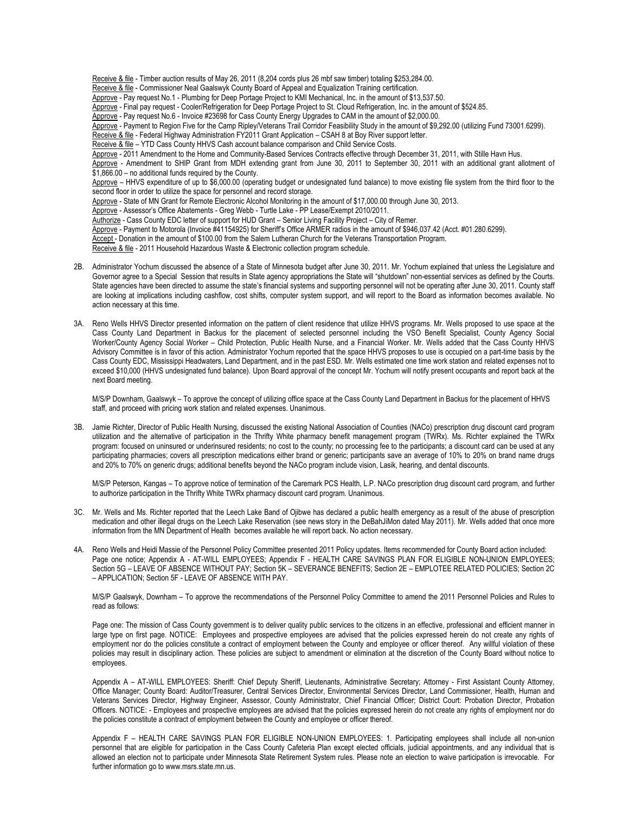Receive & file - Timber auction results of May 26, 2011 (8,204 cords plus 26 mbf saw timber) totaling \$253,284.00. Receive & file - Commissioner Neal Gaalswyk County Board of Appeal and Equalization Training certification. Approve - Pay request No.1 - Plumbing for Deep Portage Project to KMI Mechanical, Inc. in the amount of \$13,537.50. Approve - Final pay request - Cooler/Refrigeration for Deep Portage Project to St. Cloud Refrigeration, Inc. in the amount of \$524.85. Approve - Pay request No.6 - Invoice #23698 for Cass County Energy Upgrades to CAM in the amount of \$2,000.00. Approve - Payment to Region Five for the Camp Ripley/Veterans Trail Corridor Feasibility Study in the amount of \$9,292.00 (utilizing Fund 73001.6299). Receive & file - Federal Highway Administration FY2011 Grant Application – CSAH 8 at Boy River support letter. Receive & file – YTD Cass County HHVS Cash account balance comparison and Child Service Costs. Approve - 2011 Amendment to the Home and Community-Based Services Contracts effective through December 31, 2011, with Stille Havn Hus. Approve - Amendment to SHIP Grant from MDH extending grant from June 30, 2011 to September 30, 2011 with an additional grant allotment of \$1,866.00 – no additional funds required by the County. Approve – HHVS expenditure of up to \$6,000.00 (operating budget or undesignated fund balance) to move existing file system from the third floor to the second floor in order to utilize the space for personnel and record storage. Approve - State of MN Grant for Remote Electronic Alcohol Monitoring in the amount of \$17,000.00 through June 30, 2013. Approve - Assessor's Office Abatements - Greg Webb - Turtle Lake - PP Lease/Exempt 2010/2011. Authorize - Cass County EDC letter of support for HUD Grant – Senior Living Facility Project – City of Remer. Approve - Payment to Motorola (Invoice #41154925) for Sheriff's Office ARMER radios in the amount of \$946,037.42 (Acct. #01.280.6299). Accept - Donation in the amount of \$100.00 from the Salem Lutheran Church for the Veterans Transportation Program. Receive & file - 2011 Household Hazardous Waste & Electronic collection program schedule.

- 2B. Administrator Yochum discussed the absence of a State of Minnesota budget after June 30, 2011. Mr. Yochum explained that unless the Legislature and Governor agree to a Special Session that results in State agency appropriations the State will "shutdown" non-essential services as defined by the Courts. State agencies have been directed to assume the state's financial systems and supporting personnel will not be operating after June 30, 2011. County staff are looking at implications including cashflow, cost shifts, computer system support, and will report to the Board as information becomes available. No action necessary at this time.
- 3A. Reno Wells HHVS Director presented information on the pattern of client residence that utilize HHVS programs. Mr. Wells proposed to use space at the Cass County Land Department in Backus for the placement of selected personnel including the VSO Benefit Specialist, County Agency Social Worker/County Agency Social Worker – Child Protection, Public Health Nurse, and a Financial Worker. Mr. Wells added that the Cass County HHVS Advisory Committee is in favor of this action. Administrator Yochum reported that the space HHVS proposes to use is occupied on a part-time basis by the Cass County EDC, Mississippi Headwaters, Land Department, and in the past ESD. Mr. Wells estimated one time work station and related expenses not to exceed \$10,000 (HHVS undesignated fund balance). Upon Board approval of the concept Mr. Yochum will notify present occupants and report back at the next Board meeting.

M/S/P Downham, Gaalswyk – To approve the concept of utilizing office space at the Cass County Land Department in Backus for the placement of HHVS staff, and proceed with pricing work station and related expenses. Unanimous.

3B. Jamie Richter, Director of Public Health Nursing, discussed the existing National Association of Counties (NACo) prescription drug discount card program utilization and the alternative of participation in the Thrifty White pharmacy benefit management program (TWRx). Ms. Richter explained the TWRx program: focused on uninsured or underinsured residents; no cost to the county; no processing fee to the participants; a discount card can be used at any participating pharmacies; covers all prescription medications either brand or generic; participants save an average of 10% to 20% on brand name drugs and 20% to 70% on generic drugs; additional benefits beyond the NACo program include vision, Lasik, hearing, and dental discounts.

M/S/P Peterson, Kangas – To approve notice of termination of the Caremark PCS Health, L.P. NACo prescription drug discount card program, and further to authorize participation in the Thrifty White TWRx pharmacy discount card program. Unanimous.

- 3C. Mr. Wells and Ms. Richter reported that the Leech Lake Band of Ojibwe has declared a public health emergency as a result of the abuse of prescription medication and other illegal drugs on the Leech Lake Reservation (see news story in the DeBahJiMon dated May 2011). Mr. Wells added that once more information from the MN Department of Health becomes available he will report back. No action necessary.
- 4A. Reno Wells and Heidi Massie of the Personnel Policy Committee presented 2011 Policy updates. Items recommended for County Board action included: Page one notice; Appendix A - AT-WILL EMPLOYEES; Appendix F - HEALTH CARE SAVINGS PLAN FOR ELIGIBLE NON-UNION EMPLOYEES; Section 5G – LEAVE OF ABSENCE WITHOUT PAY; Section 5K – SEVERANCE BENEFITS; Section 2E – EMPLOTEE RELATED POLICIES; Section 2C – APPLICATION; Section 5F - LEAVE OF ABSENCE WITH PAY.

M/S/P Gaalswyk, Downham – To approve the recommendations of the Personnel Policy Committee to amend the 2011 Personnel Policies and Rules to read as follows:

Page one: The mission of Cass County government is to deliver quality public services to the citizens in an effective, professional and efficient manner in large type on first page. NOTICE: Employees and prospective employees are advised that the policies expressed herein do not create any rights of employment nor do the policies constitute a contract of employment between the County and employee or officer thereof. Any willful violation of these policies may result in disciplinary action. These policies are subject to amendment or elimination at the discretion of the County Board without notice to employees.

Appendix A – AT-WILL EMPLOYEES: Sheriff: Chief Deputy Sheriff, Lieutenants, Administrative Secretary; Attorney - First Assistant County Attorney, Office Manager; County Board: Auditor/Treasurer, Central Services Director, Environmental Services Director, Land Commissioner, Health, Human and Veterans Services Director, Highway Engineer, Assessor, County Administrator, Chief Financial Officer; District Court: Probation Director, Probation Officers. NOTICE: - Employees and prospective employees are advised that the policies expressed herein do not create any rights of employment nor do the policies constitute a contract of employment between the County and employee or officer thereof.

Appendix F – HEALTH CARE SAVINGS PLAN FOR ELIGIBLE NON-UNION EMPLOYEES: 1. Participating employees shall include all non-union personnel that are eligible for participation in the Cass County Cafeteria Plan except elected officials, judicial appointments, and any individual that is allowed an election not to participate under Minnesota State Retirement System rules. Please note an election to waive participation is irrevocable. For further information go t[o www.msrs.state.mn.us.](http://www.msrs.state.mn.us/)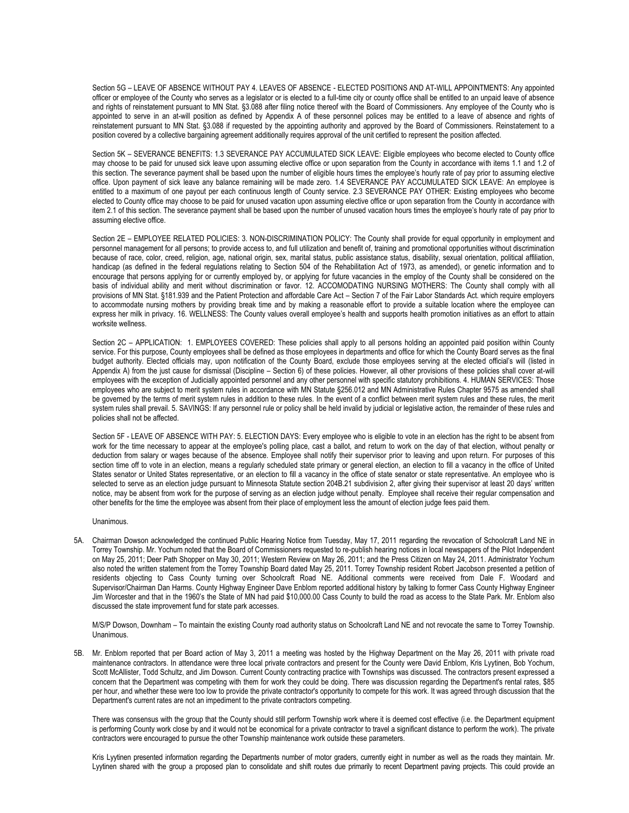Section 5G – LEAVE OF ABSENCE WITHOUT PAY 4. LEAVES OF ABSENCE - ELECTED POSITIONS AND AT-WILL APPOINTMENTS: Any appointed officer or employee of the County who serves as a legislator or is elected to a full-time city or county office shall be entitled to an unpaid leave of absence and rights of reinstatement pursuant to [MN Stat. §3.088 after filing notice thereof with the Board of Commissioners.](https://www.revisor.leg.state.mn.us/statutes/?id=352.98) Any employee of the County who is appointed to serve in an at-will position as defined by Appendix A of these personnel polices may be entitled to a leave of absence and rights of reinstatement pursuant to [MN Stat. §3.088 if re](https://www.revisor.leg.state.mn.us/statutes/?id=352.98)quested by the appointing authority and approved by the Board of Commissioners. Reinstatement to a position covered by a collective bargaining agreement additionally requires approval of the unit certified to represent the position affected.

Section 5K – SEVERANCE BENEFITS: 1.3 SEVERANCE PAY ACCUMULATED SICK LEAVE: Eligible employees who become elected to County office may choose to be paid for unused sick leave upon assuming elective office or upon separation from the County in accordance with items 1.1 and 1.2 of this section. The severance payment shall be based upon the number of eligible hours times the employee's hourly rate of pay prior to assuming elective office. Upon payment of sick leave any balance remaining will be made zero. 1.4 SEVERANCE PAY ACCUMULATED SICK LEAVE: An employee is entitled to a maximum of one payout per each continuous length of County service. 2.3 SEVERANCE PAY OTHER: Existing employees who become elected to County office may choose to be paid for unused vacation upon assuming elective office or upon separation from the County in accordance with item 2.1 of this section. The severance payment shall be based upon the number of unused vacation hours times the employee's hourly rate of pay prior to assuming elective office.

Section 2E – EMPLOYEE RELATED POLICIES: 3. NON-DISCRIMINATION POLICY: The County shall provide for equal opportunity in employment and personnel management for all persons; to provide access to, and full utilization and benefit of, training and promotional opportunities without discrimination because of race, color, creed, religion, age, national origin, sex, marital status, public assistance status, disability, sexual orientation, political affiliation, handicap (as defined in the federal regulations relating to [Section 504 of the Rehabilitation Act of 1973,](http://www.eeoc.gov/policy/rehab.html) as amended), or genetic information and to encourage that persons applying for or currently employed by, or applying for future vacancies in the employ of the County shall be considered on the basis of individual ability and merit without discrimination or favor. 12. ACCOMODATING NURSING MOTHERS: The County shall comply with all provisions of MN Stat. §181.939 and the Patient Protection and affordable Care Act – Section 7 of the Fair Labor Standards Act. which require employers to accommodate nursing mothers by providing break time and by making a reasonable effort to provide a suitable location where the employee can express her milk in privacy. 16. WELLNESS: The County values overall employee's health and supports health promotion initiatives as an effort to attain worksite wellness.

Section 2C - APPLICATION: 1. EMPLOYEES COVERED: These policies shall apply to all persons holding an appointed paid position within County service. For this purpose, County employees shall be defined as those employees in departments and office for which the County Board serves as the final budget authority. Elected officials may, upon notification of the County Board, exclude those employees serving at the elected official's will (listed in Appendix A) from the just cause for dismissal (Discipline – Section 6) of these policies. However, all other provisions of these policies shall cover at-will employees with the exception of Judicially appointed personnel and any other personnel with specific statutory prohibitions. 4. HUMAN SERVICES: Those employees who are subject to merit system rules in accordance with MN Statute §256.012 and MN Administrative Rules Chapter 9575 as amended shall be governed by the terms of merit system rules in addition to these rules. In the event of a conflict between merit system rules and these rules, the merit system rules shall prevail. 5. SAVINGS: If any personnel rule or policy shall be held invalid by judicial or legislative action, the remainder of these rules and policies shall not be affected.

Section 5F - LEAVE OF ABSENCE WITH PAY: 5. ELECTION DAYS: Every employee who is eligible to vote in an election has the right to be absent from work for the time necessary to appear at the employee's polling place, cast a ballot, and return to work on the day of that election, without penalty or deduction from salary or wages because of the absence. Employee shall notify their supervisor prior to leaving and upon return. For purposes of this section time off to vote in an election, means a regularly scheduled state primary or general election, an election to fill a vacancy in the office of United States senator or United States representative, or an election to fill a vacancy in the office of state senator or state representative. An employee who is selected to serve as an election judge pursuant to Minnesota Statute section 204B.21 subdivision 2, after giving their supervisor at least 20 days' written notice, may be absent from work for the purpose of serving as an election judge without penalty. Employee shall receive their regular compensation and other benefits for the time the employee was absent from their place of employment less the amount of election judge fees paid them.

Unanimous.

5A. Chairman Dowson acknowledged the continued Public Hearing Notice from Tuesday, May 17, 2011 regarding the revocation of Schoolcraft Land NE in Torrey Township. Mr. Yochum noted that the Board of Commissioners requested to re-publish hearing notices in local newspapers of the Pilot Independent on May 25, 2011; Deer Path Shopper on May 30, 2011; Western Review on May 26, 2011; and the Press Citizen on May 24, 2011. Administrator Yochum also noted the written statement from the Torrey Township Board dated May 25, 2011. Torrey Township resident Robert Jacobson presented a petition of residents objecting to Cass County turning over Schoolcraft Road NE. Additional comments were received from Dale F. Woodard and Supervisor/Chairman Dan Harms. County Highway Engineer Dave Enblom reported additional history by talking to former Cass County Highway Engineer Jim Worcester and that in the 1960's the State of MN had paid \$10,000.00 Cass County to build the road as access to the State Park. Mr. Enblom also discussed the state improvement fund for state park accesses.

M/S/P Dowson, Downham – To maintain the existing County road authority status on Schoolcraft Land NE and not revocate the same to Torrey Township. **Unanimous** 

5B. Mr. Enblom reported that per Board action of May 3, 2011 a meeting was hosted by the Highway Department on the May 26, 2011 with private road maintenance contractors. In attendance were three local private contractors and present for the County were David Enblom, Kris Lyytinen, Bob Yochum, Scott McAllister, Todd Schultz, and Jim Dowson. Current County contracting practice with Townships was discussed. The contractors present expressed a concern that the Department was competing with them for work they could be doing. There was discussion regarding the Department's rental rates, \$85 per hour, and whether these were too low to provide the private contractor's opportunity to compete for this work. It was agreed through discussion that the Department's current rates are not an impediment to the private contractors competing.

There was consensus with the group that the County should still perform Township work where it is deemed cost effective (i.e. the Department equipment is performing County work close by and it would not be economical for a private contractor to travel a significant distance to perform the work). The private contractors were encouraged to pursue the other Township maintenance work outside these parameters.

Kris Lyytinen presented information regarding the Departments number of motor graders, currently eight in number as well as the roads they maintain. Mr. Lyytinen shared with the group a proposed plan to consolidate and shift routes due primarily to recent Department paving projects. This could provide an